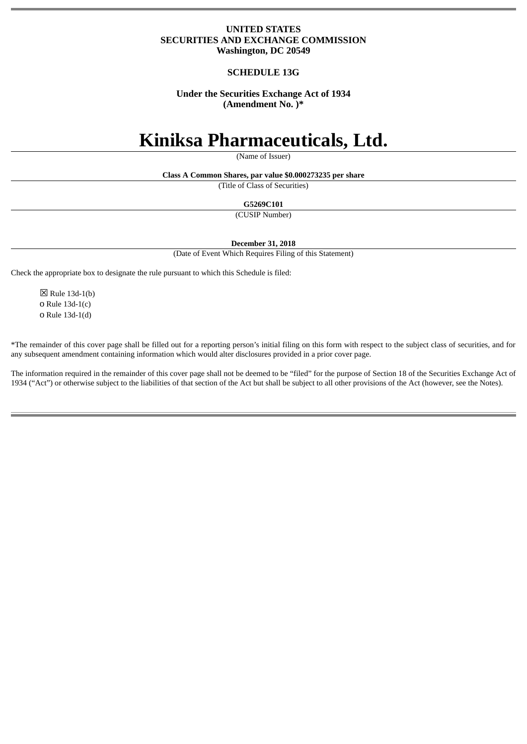# **UNITED STATES SECURITIES AND EXCHANGE COMMISSION Washington, DC 20549**

# **SCHEDULE 13G**

# **Under the Securities Exchange Act of 1934 (Amendment No. )\***

# **Kiniksa Pharmaceuticals, Ltd.**

(Name of Issuer)

**Class A Common Shares, par value \$0.000273235 per share**

(Title of Class of Securities)

**G5269C101**

(CUSIP Number)

**December 31, 2018**

(Date of Event Which Requires Filing of this Statement)

Check the appropriate box to designate the rule pursuant to which this Schedule is filed:

 $\boxtimes$  Rule 13d-1(b) o Rule 13d-1(c) o Rule 13d-1(d)

\*The remainder of this cover page shall be filled out for a reporting person's initial filing on this form with respect to the subject class of securities, and for any subsequent amendment containing information which would alter disclosures provided in a prior cover page.

The information required in the remainder of this cover page shall not be deemed to be "filed" for the purpose of Section 18 of the Securities Exchange Act of 1934 ("Act") or otherwise subject to the liabilities of that section of the Act but shall be subject to all other provisions of the Act (however, see the Notes).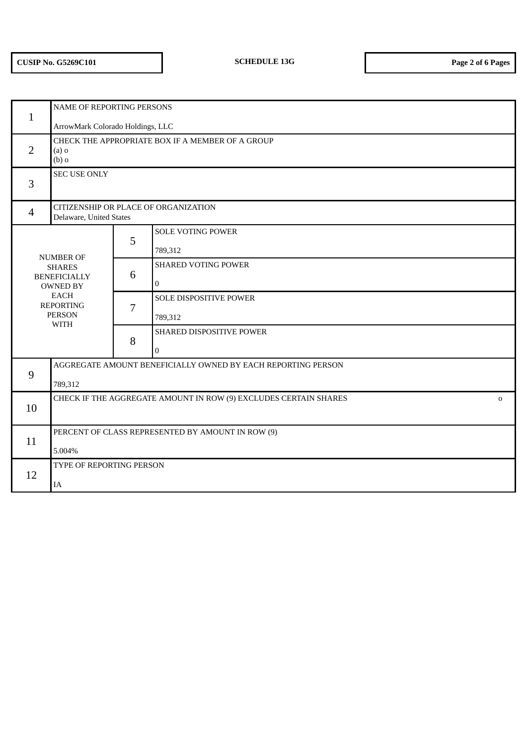| $\mathbf{1}$                                                                                                                                   | NAME OF REPORTING PERSONS                                                       |   |                            |  |
|------------------------------------------------------------------------------------------------------------------------------------------------|---------------------------------------------------------------------------------|---|----------------------------|--|
|                                                                                                                                                | ArrowMark Colorado Holdings, LLC                                                |   |                            |  |
| CHECK THE APPROPRIATE BOX IF A MEMBER OF A GROUP<br>$\overline{2}$<br>$(a)$ o<br>$(b)$ o                                                       |                                                                                 |   |                            |  |
| 3                                                                                                                                              | <b>SEC USE ONLY</b>                                                             |   |                            |  |
| $\overline{4}$                                                                                                                                 | CITIZENSHIP OR PLACE OF ORGANIZATION<br>Delaware, United States                 |   |                            |  |
|                                                                                                                                                |                                                                                 | 5 | <b>SOLE VOTING POWER</b>   |  |
| <b>NUMBER OF</b><br><b>SHARES</b><br><b>BENEFICIALLY</b><br><b>OWNED BY</b><br><b>EACH</b><br><b>REPORTING</b><br><b>PERSON</b><br><b>WITH</b> |                                                                                 |   | 789,312                    |  |
|                                                                                                                                                |                                                                                 | 6 | <b>SHARED VOTING POWER</b> |  |
|                                                                                                                                                |                                                                                 |   | $\overline{0}$             |  |
|                                                                                                                                                |                                                                                 | 7 | SOLE DISPOSITIVE POWER     |  |
|                                                                                                                                                |                                                                                 |   | 789,312                    |  |
|                                                                                                                                                |                                                                                 | 8 | SHARED DISPOSITIVE POWER   |  |
|                                                                                                                                                |                                                                                 |   | $\overline{0}$             |  |
| 9                                                                                                                                              | AGGREGATE AMOUNT BENEFICIALLY OWNED BY EACH REPORTING PERSON                    |   |                            |  |
|                                                                                                                                                | 789,312                                                                         |   |                            |  |
| 10                                                                                                                                             | CHECK IF THE AGGREGATE AMOUNT IN ROW (9) EXCLUDES CERTAIN SHARES<br>$\mathbf 0$ |   |                            |  |
|                                                                                                                                                |                                                                                 |   |                            |  |
| 11                                                                                                                                             | PERCENT OF CLASS REPRESENTED BY AMOUNT IN ROW (9)                               |   |                            |  |
|                                                                                                                                                | 5.004%                                                                          |   |                            |  |
| 12                                                                                                                                             | TYPE OF REPORTING PERSON                                                        |   |                            |  |
|                                                                                                                                                | IA                                                                              |   |                            |  |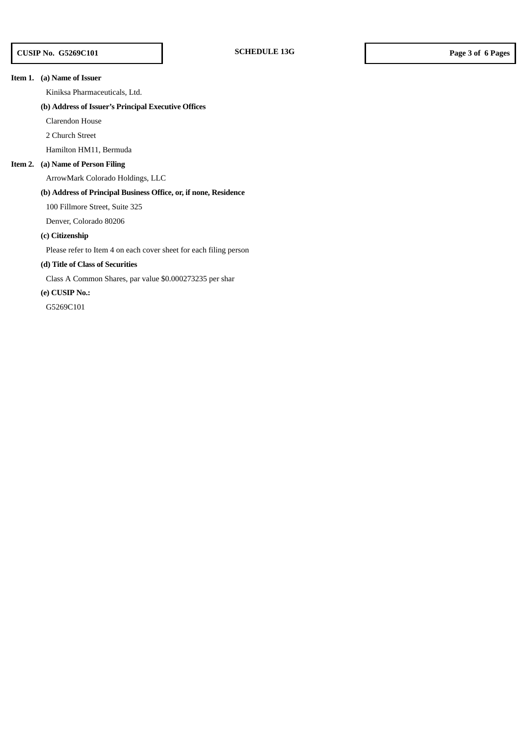## **Item 1. (a) Name of Issuer**

Kiniksa Pharmaceuticals, Ltd.

## **(b) Address of Issuer's Principal Executive Offices**

Clarendon House

2 Church Street

Hamilton HM11, Bermuda

## **Item 2. (a) Name of Person Filing**

ArrowMark Colorado Holdings, LLC

## **(b) Address of Principal Business Office, or, if none, Residence**

100 Fillmore Street, Suite 325

Denver, Colorado 80206

### **(c) Citizenship**

Please refer to Item 4 on each cover sheet for each filing person

# **(d) Title of Class of Securities**

Class A Common Shares, par value \$0.000273235 per shar

# **(e) CUSIP No.:**

G5269C101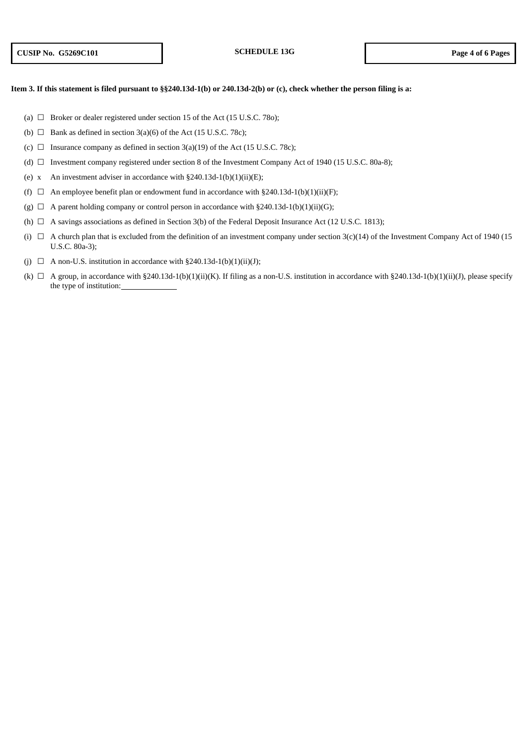## Item 3. If this statement is filed pursuant to §§240.13d-1(b) or 240.13d-2(b) or (c), check whether the person filing is a:

- (a)  $\Box$  Broker or dealer registered under section 15 of the Act (15 U.S.C. 78o);
- (b)  $\Box$  Bank as defined in section 3(a)(6) of the Act (15 U.S.C. 78c);
- (c)  $\Box$  Insurance company as defined in section 3(a)(19) of the Act (15 U.S.C. 78c);
- (d) ☐ Investment company registered under section 8 of the Investment Company Act of 1940 (15 U.S.C. 80a-8);
- (e) x An investment adviser in accordance with  $\S 240.13d-1(b)(1)(ii)(E)$ ;
- (f)  $\Box$  An employee benefit plan or endowment fund in accordance with §240.13d-1(b)(1)(ii)(F);
- (g)  $\Box$  A parent holding company or control person in accordance with §240.13d-1(b)(1)(ii)(G);
- (h)  $\Box$  A savings associations as defined in Section 3(b) of the Federal Deposit Insurance Act (12 U.S.C. 1813);
- (i)  $\Box$  A church plan that is excluded from the definition of an investment company under section 3(c)(14) of the Investment Company Act of 1940 (15 U.S.C. 80a-3);
- (i)  $\Box$  A non-U.S. institution in accordance with §240.13d-1(b)(1)(ii)(J);
- (k)  $\Box$  A group, in accordance with §240.13d-1(b)(1)(ii)(K). If filing as a non-U.S. institution in accordance with §240.13d-1(b)(1)(ii)(J), please specify the type of institution: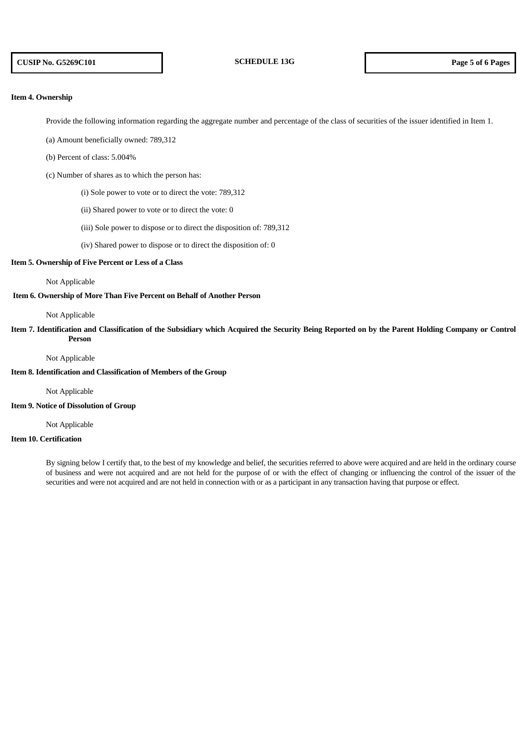## **Item 4. Ownership**

Provide the following information regarding the aggregate number and percentage of the class of securities of the issuer identified in Item 1.

(a) Amount beneficially owned: 789,312

(b) Percent of class: 5.004%

(c) Number of shares as to which the person has:

(i) Sole power to vote or to direct the vote: 789,312

- (ii) Shared power to vote or to direct the vote: 0
- (iii) Sole power to dispose or to direct the disposition of: 789,312
- (iv) Shared power to dispose or to direct the disposition of: 0

#### **Item 5. Ownership of Five Percent or Less of a Class**

#### Not Applicable

## **Item 6. Ownership of More Than Five Percent on Behalf of Another Person**

#### Not Applicable

Item 7. Identification and Classification of the Subsidiary which Acquired the Security Being Reported on by the Parent Holding Company or Control **Person**

#### Not Applicable

**Item 8. Identification and Classification of Members of the Group**

#### Not Applicable

**Item 9. Notice of Dissolution of Group**

Not Applicable

## **Item 10. Certification**

By signing below I certify that, to the best of my knowledge and belief, the securities referred to above were acquired and are held in the ordinary course of business and were not acquired and are not held for the purpose of or with the effect of changing or influencing the control of the issuer of the securities and were not acquired and are not held in connection with or as a participant in any transaction having that purpose or effect.